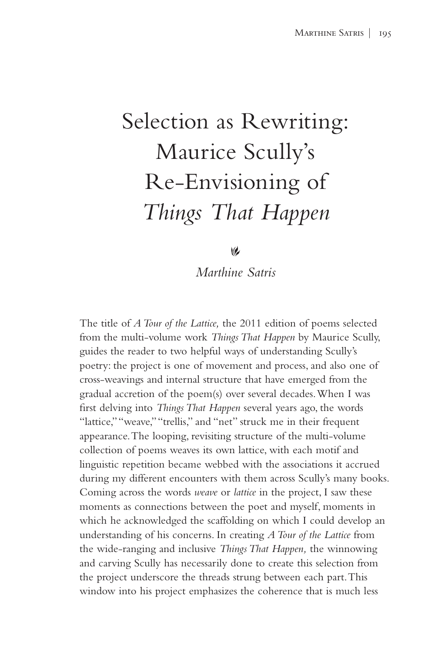## Selection as Rewriting: Maurice Scully's Re-Envisioning of *Things That Happen*

 $\omega$ 

*Marthine Satris*

The title of *A Tour of the Lattice,* the 2011 edition of poems selected from the multi-volume work *Things That Happen* by Maurice Scully, guides the reader to two helpful ways of understanding Scully's poetry: the project is one of movement and process, and also one of cross-weavings and internal structure that have emerged from the gradual accretion of the poem(s) over several decades. When I was first delving into *Things That Happen* several years ago, the words "lattice," "weave," "trellis," and "net" struck me in their frequent appearance. The looping, revisiting structure of the multi-volume collection of poems weaves its own lattice, with each motif and linguistic repetition became webbed with the associations it accrued during my different encounters with them across Scully's many books. Coming across the words *weave* or *lattice* in the project, I saw these moments as connections between the poet and myself, moments in which he acknowledged the scaffolding on which I could develop an understanding of his concerns. In creating *A Tour of the Lattice* from the wide-ranging and inclusive *Things That Happen,* the winnowing and carving Scully has necessarily done to create this selection from the project underscore the threads strung between each part. This window into his project emphasizes the coherence that is much less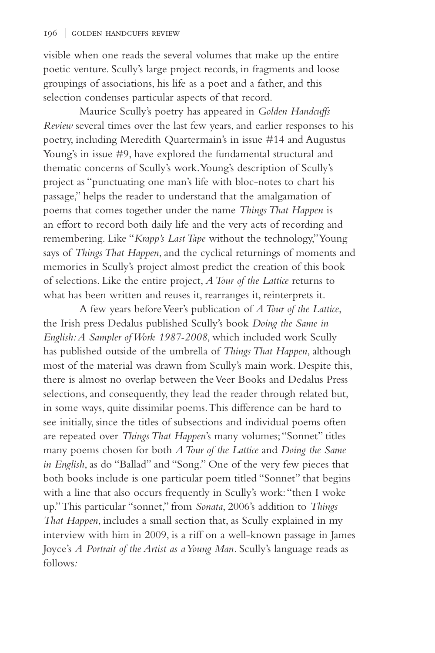visible when one reads the several volumes that make up the entire poetic venture. Scully's large project records, in fragments and loose groupings of associations, his life as a poet and a father, and this selection condenses particular aspects of that record.

Maurice Scully's poetry has appeared in *Golden Handcuffs Review* several times over the last few years, and earlier responses to his poetry, including Meredith Quartermain's in issue #14 and Augustus Young's in issue #9, have explored the fundamental structural and thematic concerns of Scully's work. Young's description of Scully's project as "punctuating one man's life with bloc-notes to chart his passage," helps the reader to understand that the amalgamation of poems that comes together under the name *Things That Happen* is an effort to record both daily life and the very acts of recording and remembering. Like "*Krapp's Last Tape* without the technology," Young says of *Things That Happen*, and the cyclical returnings of moments and memories in Scully's project almost predict the creation of this book of selections. Like the entire project, *A Tour of the Lattice* returns to what has been written and reuses it, rearranges it, reinterprets it.

A few years before Veer's publication of *A Tour of the Lattice*, the Irish press Dedalus published Scully's book *Doing the Same in English: A Sampler of Work 1987-2008*, which included work Scully has published outside of the umbrella of *Things That Happen*, although most of the material was drawn from Scully's main work. Despite this, there is almost no overlap between the Veer Books and Dedalus Press selections, and consequently, they lead the reader through related but, in some ways, quite dissimilar poems. This difference can be hard to see initially, since the titles of subsections and individual poems often are repeated over *Things That Happen*'s many volumes; "Sonnet" titles many poems chosen for both *A Tour of the Lattice* and *Doing the Same in English*, as do "Ballad" and "Song." One of the very few pieces that both books include is one particular poem titled "Sonnet" that begins with a line that also occurs frequently in Scully's work: "then I woke up." This particular "sonnet," from *Sonata*, 2006's addition to *Things That Happen*, includes a small section that, as Scully explained in my interview with him in 2009, is a riff on a well-known passage in James Joyce's *A Portrait of the Artist as a Young Man.* Scully's language reads as follows*:*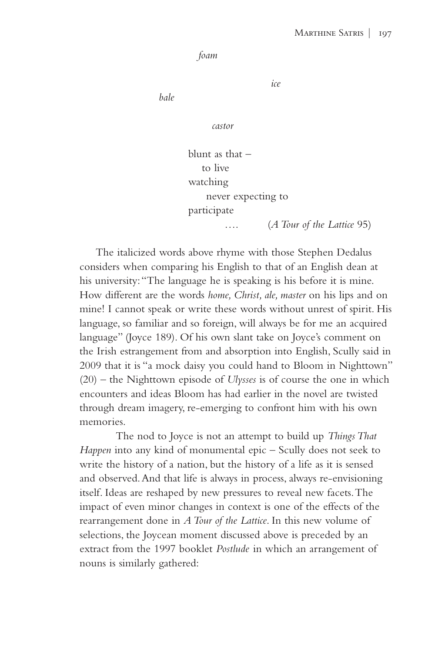```
 foam
```
*ice*

*bale*

*castor*

 blunt as that – to live watching never expecting to participate …. (*A Tour of the Lattice* 95)

The italicized words above rhyme with those Stephen Dedalus considers when comparing his English to that of an English dean at his university: "The language he is speaking is his before it is mine. How different are the words *home, Christ, ale, master* on his lips and on mine! I cannot speak or write these words without unrest of spirit. His language, so familiar and so foreign, will always be for me an acquired language" (Joyce 189). Of his own slant take on Joyce's comment on the Irish estrangement from and absorption into English, Scully said in 2009 that it is "a mock daisy you could hand to Bloom in Nighttown" (20) – the Nighttown episode of *Ulysses* is of course the one in which encounters and ideas Bloom has had earlier in the novel are twisted through dream imagery, re-emerging to confront him with his own memories.

The nod to Joyce is not an attempt to build up *Things That Happen* into any kind of monumental epic – Scully does not seek to write the history of a nation, but the history of a life as it is sensed and observed. And that life is always in process, always re-envisioning itself. Ideas are reshaped by new pressures to reveal new facets. The impact of even minor changes in context is one of the effects of the rearrangement done in *A Tour of the Lattice*. In this new volume of selections, the Joycean moment discussed above is preceded by an extract from the 1997 booklet *Postlude* in which an arrangement of nouns is similarly gathered: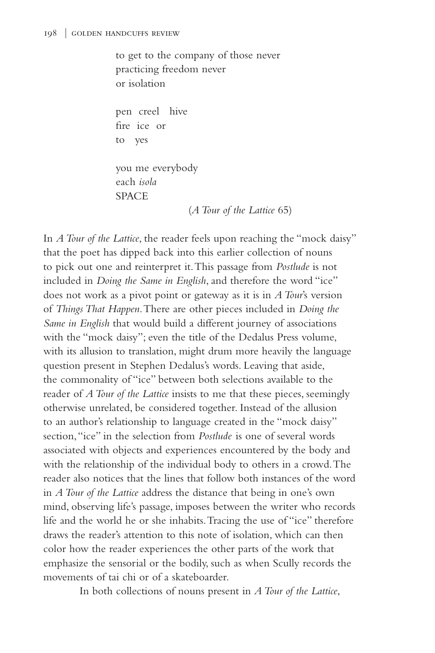to get to the company of those never practicing freedom never or isolation

 pen creel hive fire ice or to yes

 you me everybody each *isola* SPACE

(*A Tour of the Lattice* 65)

In *A Tour of the Lattice*, the reader feels upon reaching the "mock daisy" that the poet has dipped back into this earlier collection of nouns to pick out one and reinterpret it. This passage from *Postlude* is not included in *Doing the Same in English*, and therefore the word "ice" does not work as a pivot point or gateway as it is in *A Tour*'s version of *Things That Happen*. There are other pieces included in *Doing the Same in English* that would build a different journey of associations with the "mock daisy"; even the title of the Dedalus Press volume, with its allusion to translation, might drum more heavily the language question present in Stephen Dedalus's words. Leaving that aside, the commonality of "ice" between both selections available to the reader of *A Tour of the Lattice* insists to me that these pieces, seemingly otherwise unrelated, be considered together. Instead of the allusion to an author's relationship to language created in the "mock daisy" section, "ice" in the selection from *Postlude* is one of several words associated with objects and experiences encountered by the body and with the relationship of the individual body to others in a crowd. The reader also notices that the lines that follow both instances of the word in *A Tour of the Lattice* address the distance that being in one's own mind, observing life's passage, imposes between the writer who records life and the world he or she inhabits. Tracing the use of "ice" therefore draws the reader's attention to this note of isolation, which can then color how the reader experiences the other parts of the work that emphasize the sensorial or the bodily, such as when Scully records the movements of tai chi or of a skateboarder.

In both collections of nouns present in *A Tour of the Lattice*,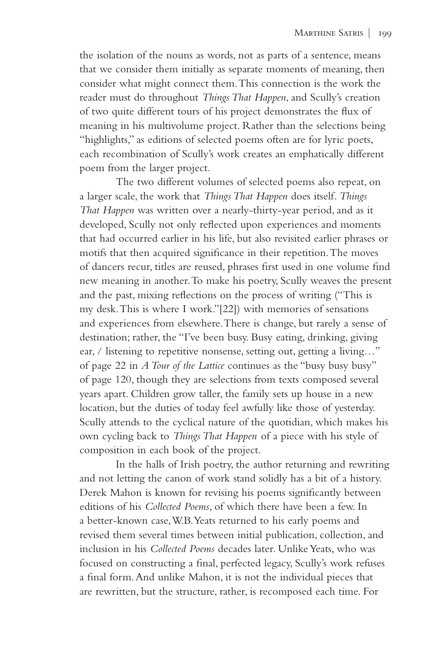the isolation of the nouns as words, not as parts of a sentence, means that we consider them initially as separate moments of meaning, then consider what might connect them. This connection is the work the reader must do throughout *Things That Happen*, and Scully's creation of two quite different tours of his project demonstrates the flux of meaning in his multivolume project. Rather than the selections being "highlights," as editions of selected poems often are for lyric poets, each recombination of Scully's work creates an emphatically different poem from the larger project.

The two different volumes of selected poems also repeat, on a larger scale, the work that *Things That Happen* does itself. *Things That Happen* was written over a nearly-thirty-year period, and as it developed, Scully not only reflected upon experiences and moments that had occurred earlier in his life, but also revisited earlier phrases or motifs that then acquired significance in their repetition. The moves of dancers recur, titles are reused, phrases first used in one volume find new meaning in another. To make his poetry, Scully weaves the present and the past, mixing reflections on the process of writing ("This is my desk. This is where I work."[22]) with memories of sensations and experiences from elsewhere. There is change, but rarely a sense of destination; rather, the "I've been busy. Busy eating, drinking, giving ear, / listening to repetitive nonsense, setting out, getting a living…" of page 22 in *A Tour of the Lattice* continues as the "busy busy busy" of page 120, though they are selections from texts composed several years apart. Children grow taller, the family sets up house in a new location, but the duties of today feel awfully like those of yesterday. Scully attends to the cyclical nature of the quotidian, which makes his own cycling back to *Things That Happen* of a piece with his style of composition in each book of the project.

In the halls of Irish poetry, the author returning and rewriting and not letting the canon of work stand solidly has a bit of a history. Derek Mahon is known for revising his poems significantly between editions of his *Collected Poems*, of which there have been a few. In a better-known case, W.B. Yeats returned to his early poems and revised them several times between initial publication, collection, and inclusion in his *Collected Poems* decades later. Unlike Yeats, who was focused on constructing a final, perfected legacy, Scully's work refuses a final form. And unlike Mahon, it is not the individual pieces that are rewritten, but the structure, rather, is recomposed each time. For